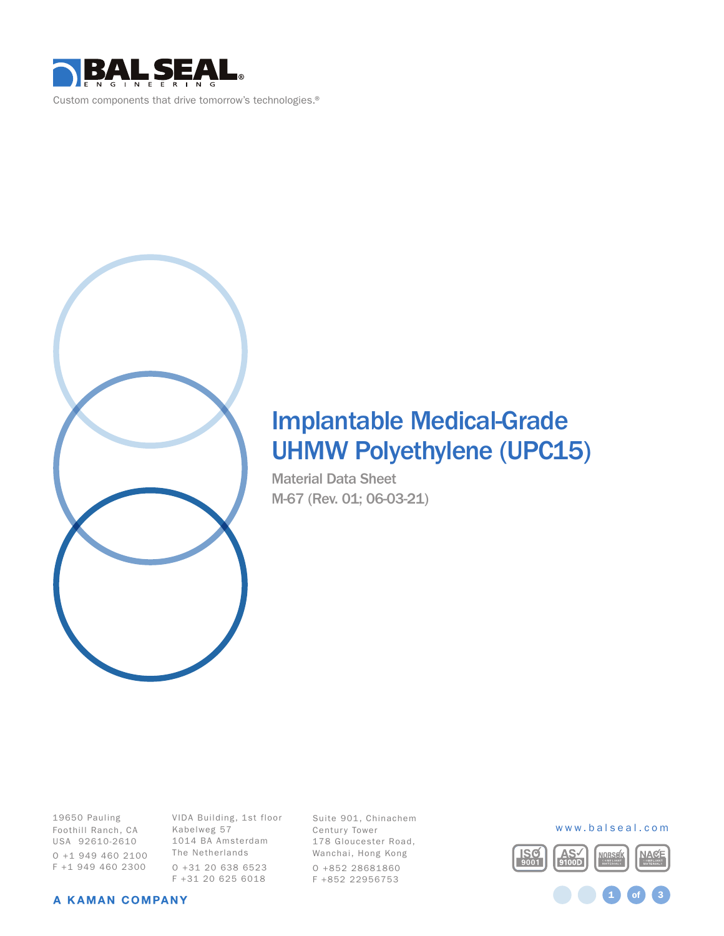



# Implantable Medical-Grade UHMW Polyethylene (UPC15)

Material Data Sheet M-67 (Rev. 01; 06-03-21)

19650 Pauling Foothill Ranch, CA USA 92610-2610 O +1 949 460 2100 F +1 949 460 2300

VIDA Building, 1st floor Kabelweg 57 1014 BA Amsterdam The Netherlands O +31 20 638 6523 F +31 20 625 6018

Suite 901, Chinachem Century Tower 178 Gloucester Road, Wanchai, Hong Kong O +852 28681860 F +852 22956753





#### A KAMAN COMPANY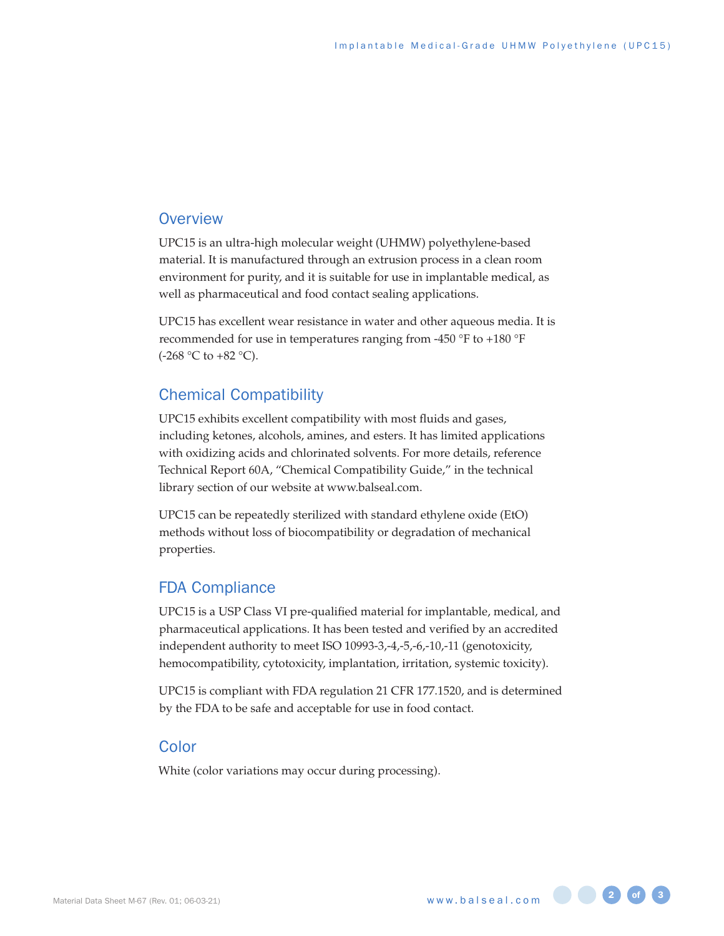### **Overview**

UPC15 is an ultra-high molecular weight (UHMW) polyethylene-based material. It is manufactured through an extrusion process in a clean room environment for purity, and it is suitable for use in implantable medical, as well as pharmaceutical and food contact sealing applications.

UPC15 has excellent wear resistance in water and other aqueous media. It is recommended for use in temperatures ranging from -450 °F to +180 °F  $(-268 °C)$  to  $+82 °C$ ).

### Chemical Compatibility

UPC15 exhibits excellent compatibility with most fluids and gases, including ketones, alcohols, amines, and esters. It has limited applications with oxidizing acids and chlorinated solvents. For more details, reference Technical Report 60A, "Chemical Compatibility Guide," in the technical library section of our website at www.balseal.com.

UPC15 can be repeatedly sterilized with standard ethylene oxide (EtO) methods without loss of biocompatibility or degradation of mechanical properties.

#### FDA Compliance

UPC15 is a USP Class VI pre-qualified material for implantable, medical, and pharmaceutical applications. It has been tested and verified by an accredited independent authority to meet ISO 10993-3,-4,-5,-6,-10,-11 (genotoxicity, hemocompatibility, cytotoxicity, implantation, irritation, systemic toxicity).

UPC15 is compliant with FDA regulation 21 CFR 177.1520, and is determined by the FDA to be safe and acceptable for use in food contact.

#### Color

White (color variations may occur during processing).